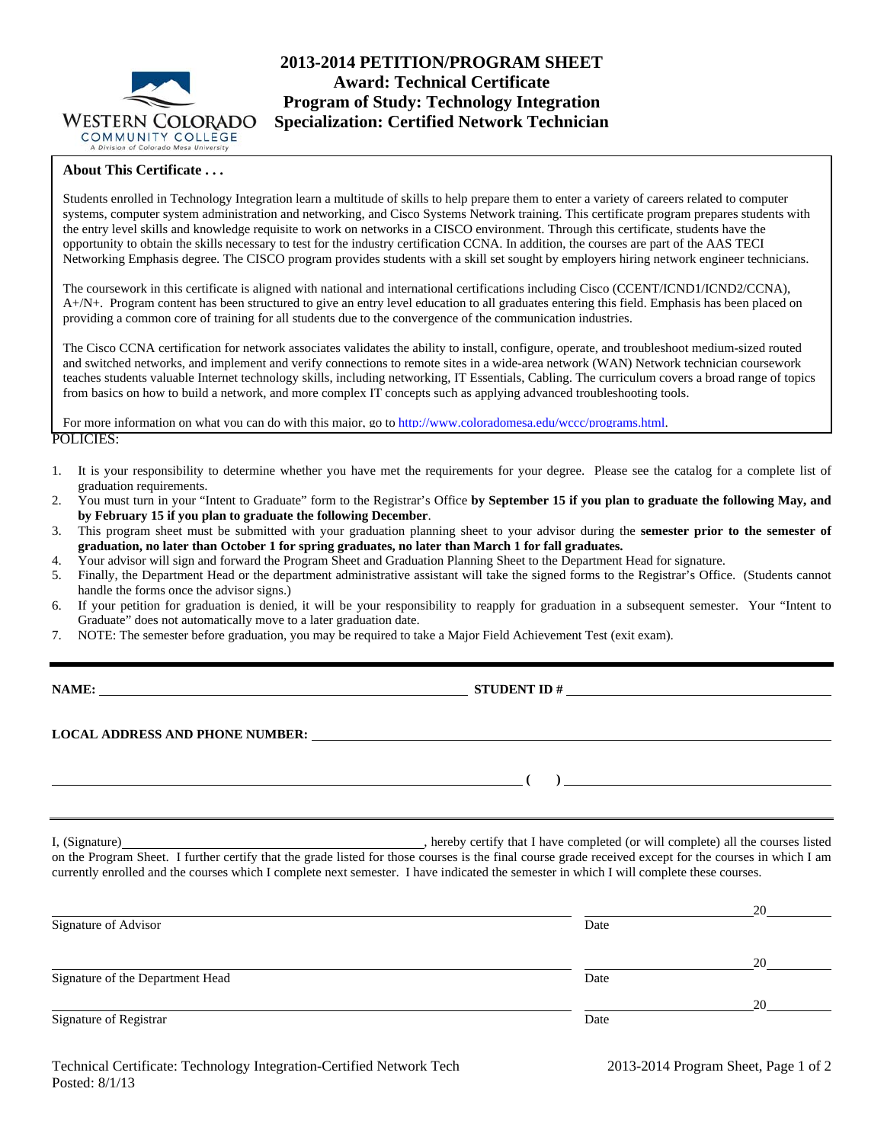

## **2013-2014 PETITION/PROGRAM SHEET Award: Technical Certificate Program of Study: Technology Integration Specialization: Certified Network Technician**

## **About This Certificate . . .**

Students enrolled in Technology Integration learn a multitude of skills to help prepare them to enter a variety of careers related to computer systems, computer system administration and networking, and Cisco Systems Network training. This certificate program prepares students with the entry level skills and knowledge requisite to work on networks in a CISCO environment. Through this certificate, students have the opportunity to obtain the skills necessary to test for the industry certification CCNA. In addition, the courses are part of the AAS TECI Networking Emphasis degree. The CISCO program provides students with a skill set sought by employers hiring network engineer technicians.

The coursework in this certificate is aligned with national and international certifications including Cisco (CCENT/ICND1/ICND2/CCNA), A+/N+. Program content has been structured to give an entry level education to all graduates entering this field. Emphasis has been placed on providing a common core of training for all students due to the convergence of the communication industries.

The Cisco CCNA certification for network associates validates the ability to install, configure, operate, and troubleshoot medium-sized routed and switched networks, and implement and verify connections to remote sites in a wide-area network (WAN) Network technician coursework teaches students valuable Internet technology skills, including networking, IT Essentials, Cabling. The curriculum covers a broad range of topics from basics on how to build a network, and more complex IT concepts such as applying advanced troubleshooting tools.

POLICIES: For more information on what you can do with this major, go to http://www.coloradomesa.edu/wccc/programs.html.

- 1. It is your responsibility to determine whether you have met the requirements for your degree. Please see the catalog for a complete list of graduation requirements.
- 2. You must turn in your "Intent to Graduate" form to the Registrar's Office **by September 15 if you plan to graduate the following May, and by February 15 if you plan to graduate the following December**.
- 3. This program sheet must be submitted with your graduation planning sheet to your advisor during the **semester prior to the semester of graduation, no later than October 1 for spring graduates, no later than March 1 for fall graduates.**
- 4. Your advisor will sign and forward the Program Sheet and Graduation Planning Sheet to the Department Head for signature.
- 5. Finally, the Department Head or the department administrative assistant will take the signed forms to the Registrar's Office. (Students cannot handle the forms once the advisor signs.)
- 6. If your petition for graduation is denied, it will be your responsibility to reapply for graduation in a subsequent semester. Your "Intent to Graduate" does not automatically move to a later graduation date.
- 7. NOTE: The semester before graduation, you may be required to take a Major Field Achievement Test (exit exam).

**NAME: STUDENT ID #**

 **( )** 

**LOCAL ADDRESS AND PHONE NUMBER:**

I, (Signature) , hereby certify that I have completed (or will complete) all the courses listed on the Program Sheet. I further certify that the grade listed for those courses is the final course grade received except for the courses in which I am currently enrolled and the courses which I complete next semester. I have indicated the semester in which I will complete these courses.

|                                  |      | 20 |
|----------------------------------|------|----|
| Signature of Advisor             | Date |    |
|                                  |      |    |
|                                  |      | 20 |
| Signature of the Department Head | Date |    |
|                                  |      | 20 |
| Signature of Registrar           | Date |    |
|                                  |      |    |